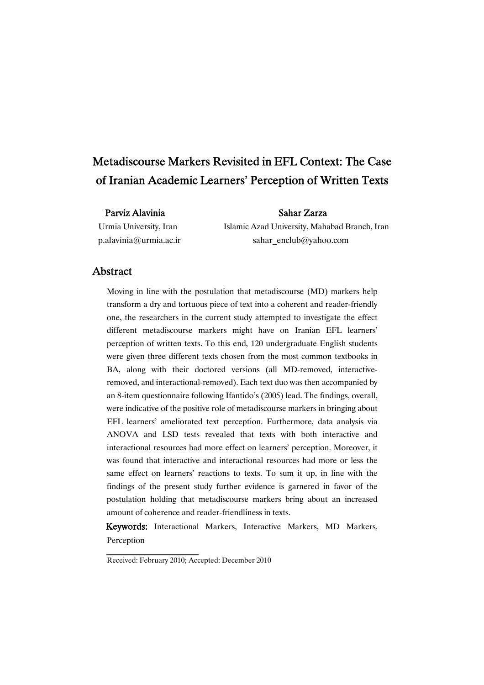# Metadiscourse Markers Revisited in EFL Context: The Case of Iranian Academic Learners' Perception of Written Texts

### Parviz Alavinia and Sahar Zarza

Urmia University, Iran Islamic Azad University, Mahabad Branch, Iran p.alavinia@urmia.ac.ir sahar enclub@yahoo.com

# Abstract

Moving in line with the postulation that metadiscourse (MD) markers help transform a dry and tortuous piece of text into a coherent and reader-friendly one, the researchers in the current study attempted to investigate the effect different metadiscourse markers might have on Iranian EFL learners' perception of written texts. To this end, 120 undergraduate English students were given three different texts chosen from the most common textbooks in BA, along with their doctored versions (all MD-removed, interactiveremoved, and interactional-removed). Each text duo was then accompanied by an 8-item questionnaire following Ifantido's (2005) lead. The findings, overall, were indicative of the positive role of metadiscourse markers in bringing about EFL learners' ameliorated text perception. Furthermore, data analysis via ANOVA and LSD tests revealed that texts with both interactive and interactional resources had more effect on learners' perception. Moreover, it was found that interactive and interactional resources had more or less the same effect on learners' reactions to texts. To sum it up, in line with the findings of the present study further evidence is garnered in favor of the postulation holding that metadiscourse markers bring about an increased amount of coherence and reader-friendliness in texts.

Keywords: Interactional Markers, Interactive Markers, MD Markers, Perception

Received: February 2010; Accepted: December 2010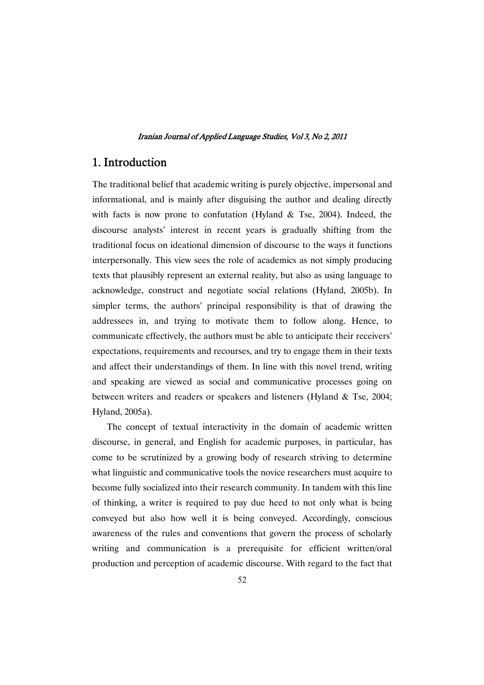# 1. Introduction

The traditional belief that academic writing is purely objective, impersonal and informational, and is mainly after disguising the author and dealing directly with facts is now prone to confutation (Hyland  $&$  Tse, 2004). Indeed, the discourse analysts' interest in recent years is gradually shifting from the traditional focus on ideational dimension of discourse to the ways it functions interpersonally. This view sees the role of academics as not simply producing texts that plausibly represent an external reality, but also as using language to acknowledge, construct and negotiate social relations (Hyland, 2005b). In simpler terms, the authors' principal responsibility is that of drawing the addressees in, and trying to motivate them to follow along. Hence, to communicate effectively, the authors must be able to anticipate their receivers' expectations, requirements and recourses, and try to engage them in their texts and affect their understandings of them. In line with this novel trend, writing and speaking are viewed as social and communicative processes going on between writers and readers or speakers and listeners (Hyland & Tse, 2004; Hyland, 2005a).

The concept of textual interactivity in the domain of academic written discourse, in general, and English for academic purposes, in particular, has come to be scrutinized by a growing body of research striving to determine what linguistic and communicative tools the novice researchers must acquire to become fully socialized into their research community. In tandem with this line of thinking, a writer is required to pay due heed to not only what is being conveyed but also how well it is being conveyed. Accordingly, conscious awareness of the rules and conventions that govern the process of scholarly writing and communication is a prerequisite for efficient written/oral production and perception of academic discourse. With regard to the fact that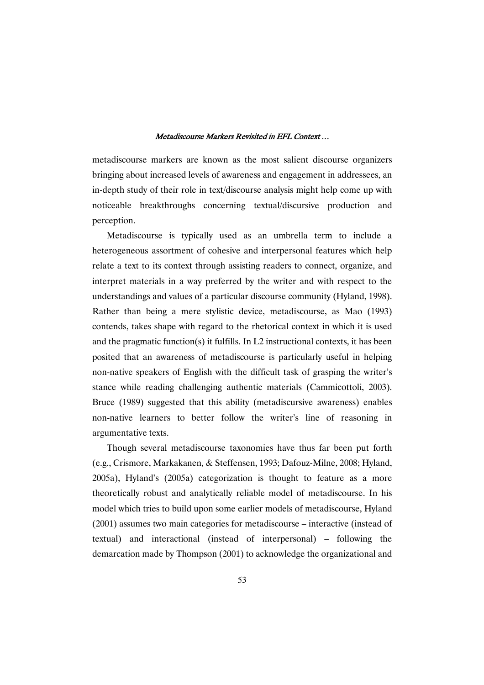metadiscourse markers are known as the most salient discourse organizers bringing about increased levels of awareness and engagement in addressees, an in-depth study of their role in text/discourse analysis might help come up with noticeable breakthroughs concerning textual/discursive production and perception.

Metadiscourse is typically used as an umbrella term to include a heterogeneous assortment of cohesive and interpersonal features which help relate a text to its context through assisting readers to connect, organize, and interpret materials in a way preferred by the writer and with respect to the understandings and values of a particular discourse community (Hyland, 1998). Rather than being a mere stylistic device, metadiscourse, as Mao (1993) contends, takes shape with regard to the rhetorical context in which it is used and the pragmatic function(s) it fulfills. In L2 instructional contexts, it has been posited that an awareness of metadiscourse is particularly useful in helping non-native speakers of English with the difficult task of grasping the writer's stance while reading challenging authentic materials (Cammicottoli, 2003). Bruce (1989) suggested that this ability (metadiscursive awareness) enables non-native learners to better follow the writer's line of reasoning in argumentative texts.

Though several metadiscourse taxonomies have thus far been put forth (e.g., Crismore, Markakanen, & Steffensen, 1993; Dafouz-Milne, 2008; Hyland, 2005a), Hyland's (2005a) categorization is thought to feature as a more theoretically robust and analytically reliable model of metadiscourse. In his model which tries to build upon some earlier models of metadiscourse, Hyland (2001) assumes two main categories for metadiscourse – interactive (instead of textual) and interactional (instead of interpersonal) – following the demarcation made by Thompson (2001) to acknowledge the organizational and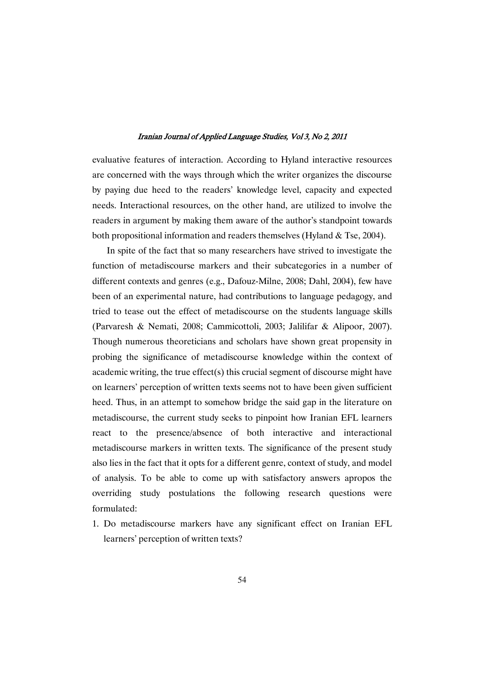evaluative features of interaction. According to Hyland interactive resources are concerned with the ways through which the writer organizes the discourse by paying due heed to the readers' knowledge level, capacity and expected needs. Interactional resources, on the other hand, are utilized to involve the readers in argument by making them aware of the author's standpoint towards both propositional information and readers themselves (Hyland & Tse, 2004).

In spite of the fact that so many researchers have strived to investigate the function of metadiscourse markers and their subcategories in a number of different contexts and genres (e.g., Dafouz-Milne, 2008; Dahl, 2004), few have been of an experimental nature, had contributions to language pedagogy, and tried to tease out the effect of metadiscourse on the students language skills (Parvaresh & Nemati, 2008; Cammicottoli, 2003; Jalilifar & Alipoor, 2007). Though numerous theoreticians and scholars have shown great propensity in probing the significance of metadiscourse knowledge within the context of academic writing, the true effect(s) this crucial segment of discourse might have on learners' perception of written texts seems not to have been given sufficient heed. Thus, in an attempt to somehow bridge the said gap in the literature on metadiscourse, the current study seeks to pinpoint how Iranian EFL learners react to the presence/absence of both interactive and interactional metadiscourse markers in written texts. The significance of the present study also lies in the fact that it opts for a different genre, context of study, and model of analysis. To be able to come up with satisfactory answers apropos the overriding study postulations the following research questions were formulated:

1. Do metadiscourse markers have any significant effect on Iranian EFL learners' perception of written texts?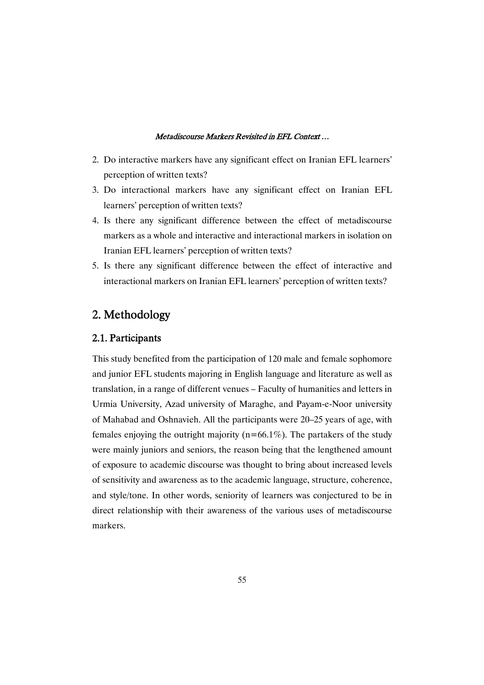- 2. Do interactive markers have any significant effect on Iranian EFL learners' perception of written texts?
- 3. Do interactional markers have any significant effect on Iranian EFL learners' perception of written texts?
- 4. Is there any significant difference between the effect of metadiscourse markers as a whole and interactive and interactional markers in isolation on Iranian EFL learners' perception of written texts?
- 5. Is there any significant difference between the effect of interactive and interactional markers on Iranian EFL learners' perception of written texts?

# 2. Methodology

# 2.1.Participants

This study benefited from the participation of 120 male and female sophomore and junior EFL students majoring in English language and literature as well as translation, in a range of different venues – Faculty of humanities and letters in Urmia University, Azad university of Maraghe, and Payam-e-Noor university of Mahabad and Oshnavieh. All the participants were 20–25 years of age, with females enjoying the outright majority ( $n=66.1\%$ ). The partakers of the study were mainly juniors and seniors, the reason being that the lengthened amount of exposure to academic discourse was thought to bring about increased levels of sensitivity and awareness as to the academic language, structure, coherence, and style/tone. In other words, seniority of learners was conjectured to be in direct relationship with their awareness of the various uses of metadiscourse markers.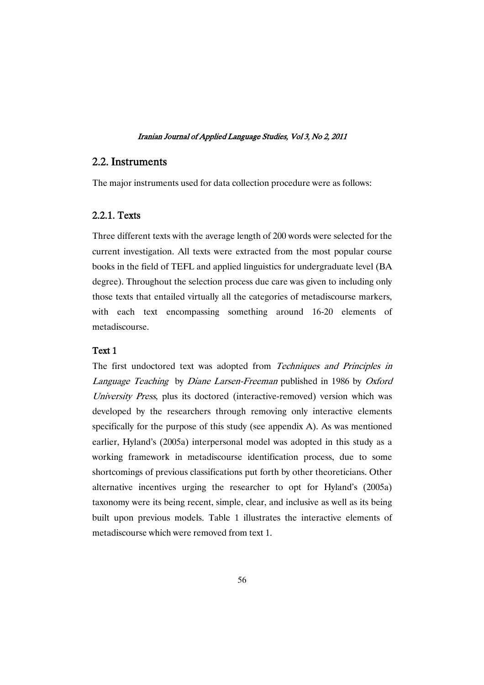### 2.2.Instruments

The major instruments used for data collection procedure were as follows:

# 2.2.1.Texts

Three different texts with the average length of 200 words were selected for the current investigation. All texts were extracted from the most popular course books in the field of TEFL and applied linguistics for undergraduate level (BA degree). Throughout the selection process due care was given to including only those texts that entailed virtually all the categories of metadiscourse markers, with each text encompassing something around 16-20 elements of metadiscourse.

### Text 1

The first undoctored text was adopted from Techniques and Principles in Language Teaching by Diane Larsen-Freeman published in 1986 by Oxford University Press, plus its doctored (interactive-removed) version which was developed by the researchers through removing only interactive elements specifically for the purpose of this study (see appendix A). As was mentioned earlier, Hyland's (2005a) interpersonal model was adopted in this study as a working framework in metadiscourse identification process, due to some shortcomings of previous classifications put forth by other theoreticians. Other alternative incentives urging the researcher to opt for Hyland's (2005a) taxonomy were its being recent, simple, clear, and inclusive as well as its being built upon previous models. Table 1 illustrates the interactive elements of metadiscourse which were removed from text 1.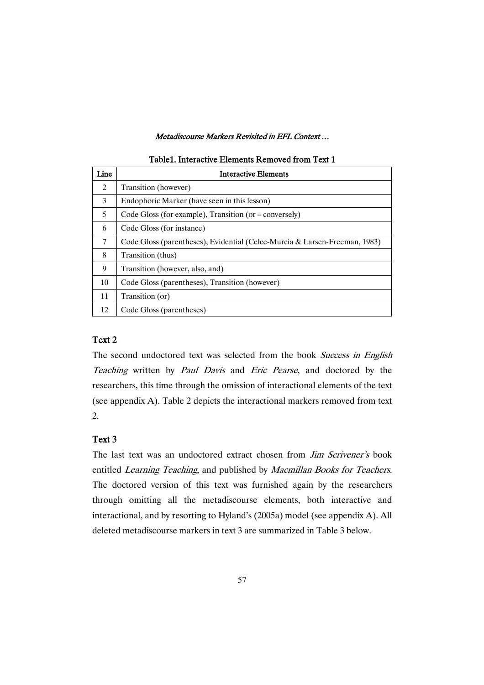| Line | <b>Interactive Elements</b>                                                |
|------|----------------------------------------------------------------------------|
| 2    | Transition (however)                                                       |
| 3    | Endophoric Marker (have seen in this lesson)                               |
| 5    | Code Gloss (for example), Transition (or – conversely)                     |
| 6    | Code Gloss (for instance)                                                  |
| 7    | Code Gloss (parentheses), Evidential (Celce-Murcia & Larsen-Freeman, 1983) |
| 8    | Transition (thus)                                                          |
| 9    | Transition (however, also, and)                                            |
| 10   | Code Gloss (parentheses), Transition (however)                             |
| 11   | Transition (or)                                                            |
| 12   | Code Gloss (parentheses)                                                   |

### Table1. Interactive Elements Removed from Text 1

### Text 2

The second undoctored text was selected from the book Success in English Teaching written by Paul Davis and Eric Pearse, and doctored by the researchers, this time through the omission of interactional elements of the text (see appendix A). Table 2 depicts the interactional markers removed from text 2.

### Text 3

The last text was an undoctored extract chosen from *Jim Scrivener's* book entitled Learning Teaching, and published by Macmillan Books for Teachers. The doctored version of this text was furnished again by the researchers through omitting all the metadiscourse elements, both interactive and interactional, and by resorting to Hyland's (2005a) model (see appendix A). All deleted metadiscourse markers in text 3 are summarized in Table 3 below.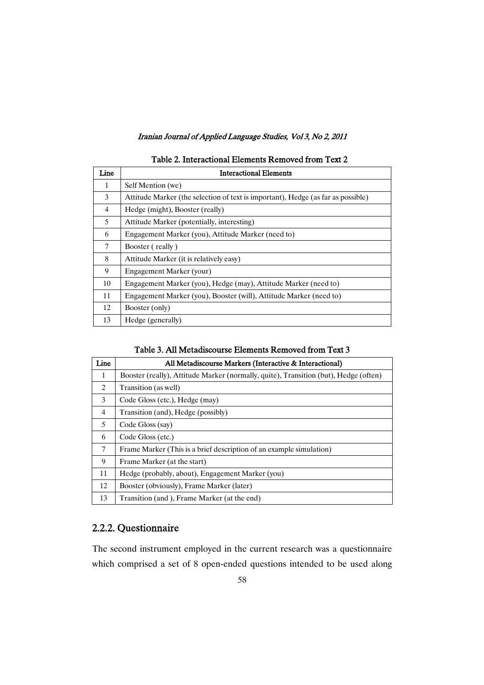| Line           | <b>Interactional Elements</b>                                                    |
|----------------|----------------------------------------------------------------------------------|
| 1              | Self Mention (we)                                                                |
| 3              | Attitude Marker (the selection of text is important), Hedge (as far as possible) |
| $\overline{4}$ | Hedge (might), Booster (really)                                                  |
| 5              | Attitude Marker (potentially, interesting)                                       |
| 6              | Engagement Marker (you), Attitude Marker (need to)                               |
| 7              | Booster (really)                                                                 |
| 8              | Attitude Marker (it is relatively easy)                                          |
| 9              | Engagement Marker (your)                                                         |
| 10             | Engagement Marker (you), Hedge (may), Attitude Marker (need to)                  |
| 11             | Engagement Marker (you), Booster (will), Attitude Marker (need to)               |
| 12             | Booster (only)                                                                   |
| 13             | Hedge (generally)                                                                |

# Table 2. Interactional Elements Removed from Text 2

| Table 3. All Metadiscourse Elements Removed from Text 3 |  |
|---------------------------------------------------------|--|
|---------------------------------------------------------|--|

| Line           | All Metadiscourse Markers (Interactive & Interactional)                              |
|----------------|--------------------------------------------------------------------------------------|
| $\mathbf{1}$   | Booster (really), Attitude Marker (normally, quite), Transition (but), Hedge (often) |
| 2              | Transition (as well)                                                                 |
| 3              | Code Gloss (etc.), Hedge (may)                                                       |
| $\overline{4}$ | Transition (and), Hedge (possibly)                                                   |
| 5              | Code Gloss (say)                                                                     |
| 6              | Code Gloss (etc.)                                                                    |
| 7              | Frame Marker (This is a brief description of an example simulation)                  |
| 9              | Frame Marker (at the start)                                                          |
| 11             | Hedge (probably, about), Engagement Marker (you)                                     |
| 12             | Booster (obviously), Frame Marker (later)                                            |
| 13             | Transition (and ), Frame Marker (at the end)                                         |

# 2.2.2.Questionnaire

The second instrument employed in the current research was a questionnaire which comprised a set of 8 open-ended questions intended to be used along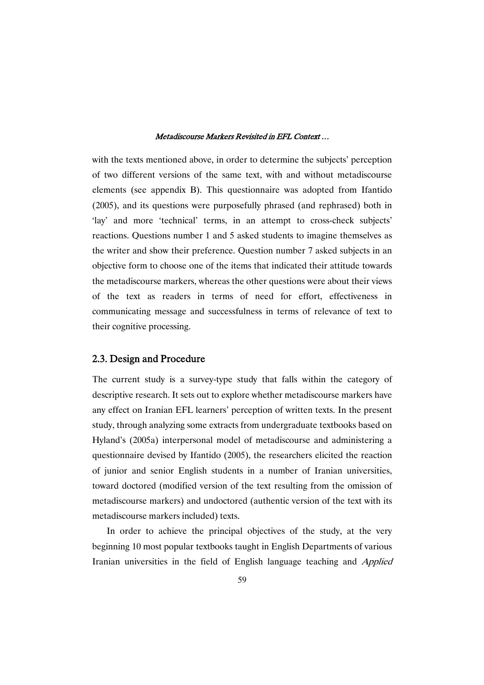with the texts mentioned above, in order to determine the subjects' perception of two different versions of the same text, with and without metadiscourse elements (see appendix B). This questionnaire was adopted from Ifantido (2005), and its questions were purposefully phrased (and rephrased) both in 'lay' and more 'technical' terms, in an attempt to cross-check subjects' reactions. Questions number 1 and 5 asked students to imagine themselves as the writer and show their preference. Question number 7 asked subjects in an objective form to choose one of the items that indicated their attitude towards the metadiscourse markers, whereas the other questions were about their views of the text as readers in terms of need for effort, effectiveness in communicating message and successfulness in terms of relevance of text to their cognitive processing.

### 2.3.DesignandProcedure

The current study is a survey-type study that falls within the category of descriptive research. It sets out to explore whether metadiscourse markers have any effect on Iranian EFL learners' perception of written texts. In the present study, through analyzing some extracts from undergraduate textbooks based on Hyland's (2005a) interpersonal model of metadiscourse and administering a questionnaire devised by Ifantido (2005), the researchers elicited the reaction of junior and senior English students in a number of Iranian universities, toward doctored (modified version of the text resulting from the omission of metadiscourse markers) and undoctored (authentic version of the text with its metadiscourse markers included) texts.

In order to achieve the principal objectives of the study, at the very beginning 10 most popular textbooks taught in English Departments of various Iranian universities in the field of English language teaching and Applied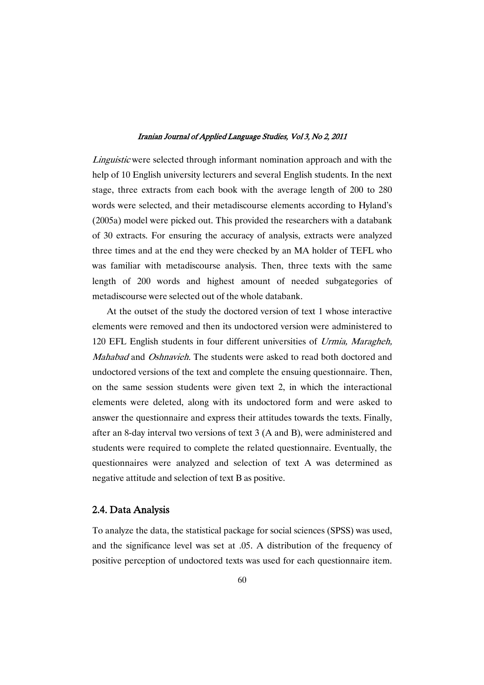Linguistic were selected through informant nomination approach and with the help of 10 English university lecturers and several English students. In the next stage, three extracts from each book with the average length of 200 to 280 words were selected, and their metadiscourse elements according to Hyland's (2005a) model were picked out. This provided the researchers with a databank of 30 extracts. For ensuring the accuracy of analysis, extracts were analyzed three times and at the end they were checked by an MA holder of TEFL who was familiar with metadiscourse analysis. Then, three texts with the same length of 200 words and highest amount of needed subgategories of metadiscourse were selected out of the whole databank.

At the outset of the study the doctored version of text 1 whose interactive elements were removed and then its undoctored version were administered to 120 EFL English students in four different universities of Urmia, Maragheh, Mahabad and Oshnavieh. The students were asked to read both doctored and undoctored versions of the text and complete the ensuing questionnaire. Then, on the same session students were given text 2, in which the interactional elements were deleted, along with its undoctored form and were asked to answer the questionnaire and express their attitudes towards the texts. Finally, after an 8-day interval two versions of text 3 (A and B), were administered and students were required to complete the related questionnaire. Eventually, the questionnaires were analyzed and selection of text A was determined as negative attitude and selection of text B as positive.

### 2.4.DataAnalysis

To analyze the data, the statistical package for social sciences (SPSS) was used, and the significance level was set at .05. A distribution of the frequency of positive perception of undoctored texts was used for each questionnaire item.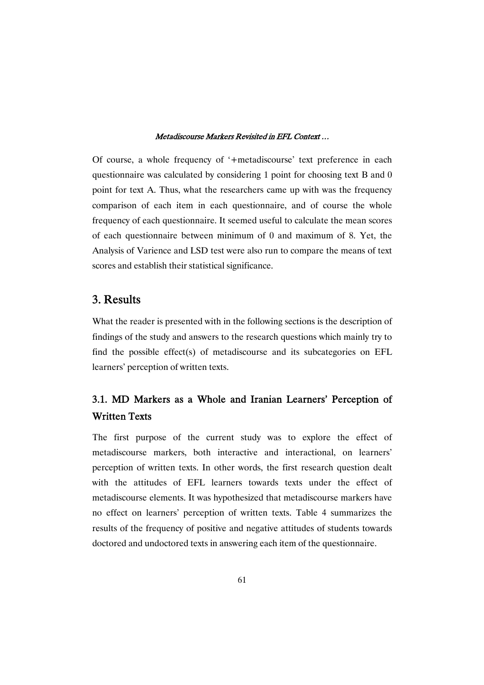Of course, a whole frequency of '+metadiscourse' text preference in each questionnaire was calculated by considering 1 point for choosing text B and 0 point for text A. Thus, what the researchers came up with was the frequency comparison of each item in each questionnaire, and of course the whole frequency of each questionnaire. It seemed useful to calculate the mean scores of each questionnaire between minimum of 0 and maximum of 8. Yet, the Analysis of Varience and LSD test were also run to compare the means of text scores and establish their statistical significance.

# 3.Results

What the reader is presented with in the following sections is the description of findings of the study and answers to the research questions which mainly try to find the possible effect(s) of metadiscourse and its subcategories on EFL learners' perception of written texts.

# 3.1. MD Markers as a Whole and Iranian Learners' Perception of WrittenTexts

The first purpose of the current study was to explore the effect of metadiscourse markers, both interactive and interactional, on learners' perception of written texts. In other words, the first research question dealt with the attitudes of EFL learners towards texts under the effect of metadiscourse elements. It was hypothesized that metadiscourse markers have no effect on learners' perception of written texts. Table 4 summarizes the results of the frequency of positive and negative attitudes of students towards doctored and undoctored texts in answering each item of the questionnaire.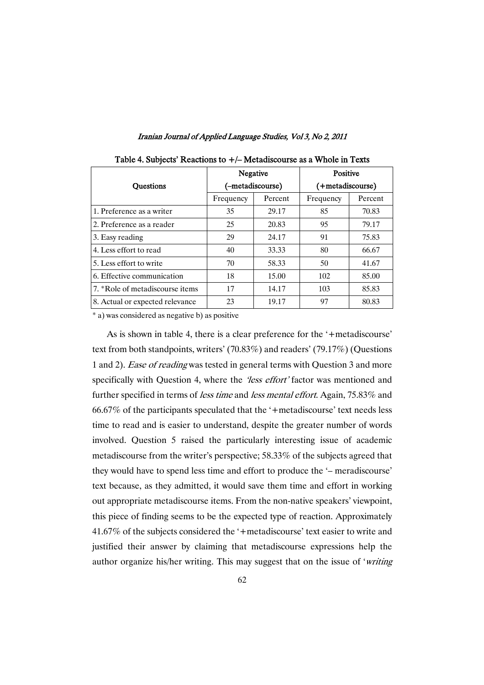|  | Iranian Journal of Applied Language Studies, Vol 3, No 2, 2011 |  |  |
|--|----------------------------------------------------------------|--|--|
|  |                                                                |  |  |

|                                 | Negative         |         | Positive         |         |  |
|---------------------------------|------------------|---------|------------------|---------|--|
| <b>Ouestions</b>                | (-metadiscourse) |         | (+metadiscourse) |         |  |
|                                 | Frequency        | Percent | Frequency        | Percent |  |
| 1. Preference as a writer       | 35               | 29.17   | 85               | 70.83   |  |
| 2. Preference as a reader       | 25               | 20.83   | 95               | 79.17   |  |
| 3. Easy reading                 | 29               | 24.17   | 91               | 75.83   |  |
| 4. Less effort to read          | 40               | 33.33   | 80               | 66.67   |  |
| 5. Less effort to write         | 70               | 58.33   | 50               | 41.67   |  |
| 6. Effective communication      | 18               | 15.00   | 102              | 85.00   |  |
| 7. *Role of metadiscourse items | 17               | 14.17   | 103              | 85.83   |  |
| 8. Actual or expected relevance | 23               | 19.17   | 97               | 80.83   |  |

|  |  |  | Table 4. Subjects' Reactions to +/- Metadiscourse as a Whole in Texts |  |
|--|--|--|-----------------------------------------------------------------------|--|
|--|--|--|-----------------------------------------------------------------------|--|

\* a) was considered as negative b) as positive

As is shown in table 4, there is a clear preference for the '+metadiscourse' text from both standpoints, writers' (70.83%) and readers' (79.17%) (Questions 1 and 2). Ease of reading was tested in general terms with Question 3 and more specifically with Question 4, where the *'less effort'* factor was mentioned and further specified in terms of *less time* and *less mental effort*. Again, 75.83% and 66.67% of the participants speculated that the '+metadiscourse' text needs less time to read and is easier to understand, despite the greater number of words involved. Question 5 raised the particularly interesting issue of academic metadiscourse from the writer's perspective; 58.33% of the subjects agreed that they would have to spend less time and effort to produce the '– meradiscourse' text because, as they admitted, it would save them time and effort in working out appropriate metadiscourse items. From the non-native speakers' viewpoint, this piece of finding seems to be the expected type of reaction. Approximately 41.67% of the subjects considered the '+metadiscourse' text easier to write and justified their answer by claiming that metadiscourse expressions help the author organize his/her writing. This may suggest that on the issue of 'writing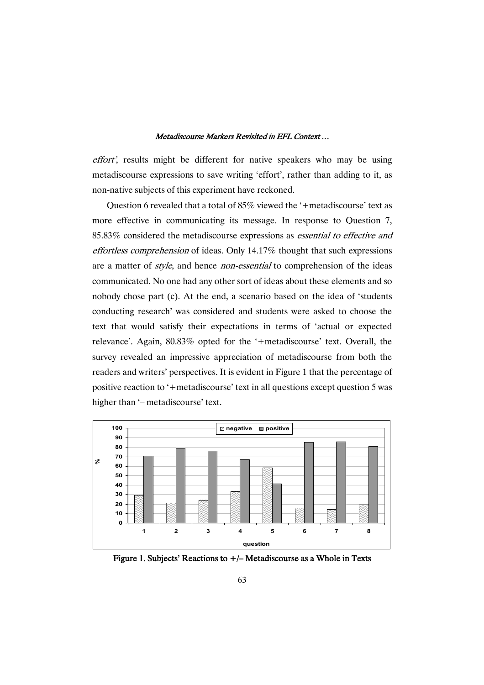effort', results might be different for native speakers who may be using metadiscourse expressions to save writing 'effort', rather than adding to it, as non-native subjects of this experiment have reckoned.

Question 6 revealed that a total of 85% viewed the '+metadiscourse' text as more effective in communicating its message. In response to Question 7, 85.83% considered the metadiscourse expressions as essential to effective and effortless comprehension of ideas. Only 14.17% thought that such expressions are a matter of *style*, and hence *non-essential* to comprehension of the ideas communicated. No one had any other sort of ideas about these elements and so nobody chose part (c). At the end, a scenario based on the idea of 'students conducting research' was considered and students were asked to choose the text that would satisfy their expectations in terms of 'actual or expected relevance'. Again, 80.83% opted for the '+metadiscourse' text. Overall, the survey revealed an impressive appreciation of metadiscourse from both the readers and writers' perspectives. It is evident in Figure 1 that the percentage of positive reaction to '+metadiscourse' text in all questions except question 5 was higher than '– metadiscourse' text.



Figure 1. Subjects' Reactions to  $+/-$  Metadiscourse as a Whole in Texts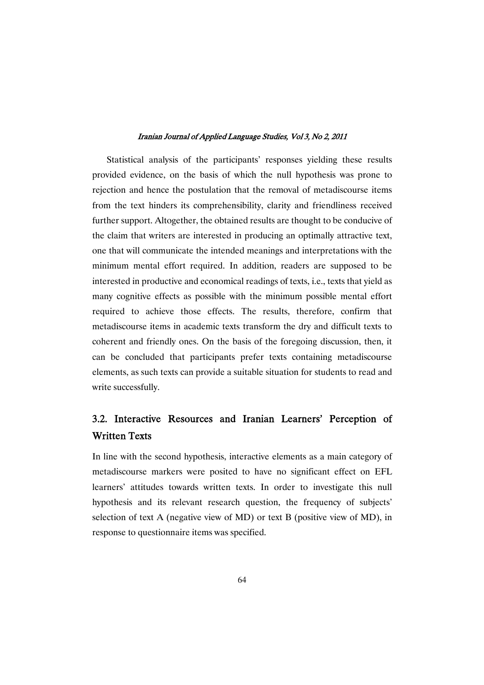Statistical analysis of the participants' responses yielding these results provided evidence, on the basis of which the null hypothesis was prone to rejection and hence the postulation that the removal of metadiscourse items from the text hinders its comprehensibility, clarity and friendliness received further support. Altogether, the obtained results are thought to be conducive of the claim that writers are interested in producing an optimally attractive text, one that will communicate the intended meanings and interpretations with the minimum mental effort required. In addition, readers are supposed to be interested in productive and economical readings of texts, i.e., texts that yield as many cognitive effects as possible with the minimum possible mental effort required to achieve those effects. The results, therefore, confirm that metadiscourse items in academic texts transform the dry and difficult texts to coherent and friendly ones. On the basis of the foregoing discussion, then, it can be concluded that participants prefer texts containing metadiscourse elements, as such texts can provide a suitable situation for students to read and write successfully.

# 3.2. Interactive Resources and Iranian Learners' Perception of **Written Texts**

In line with the second hypothesis, interactive elements as a main category of metadiscourse markers were posited to have no significant effect on EFL learners' attitudes towards written texts. In order to investigate this null hypothesis and its relevant research question, the frequency of subjects' selection of text A (negative view of MD) or text B (positive view of MD), in response to questionnaire items was specified.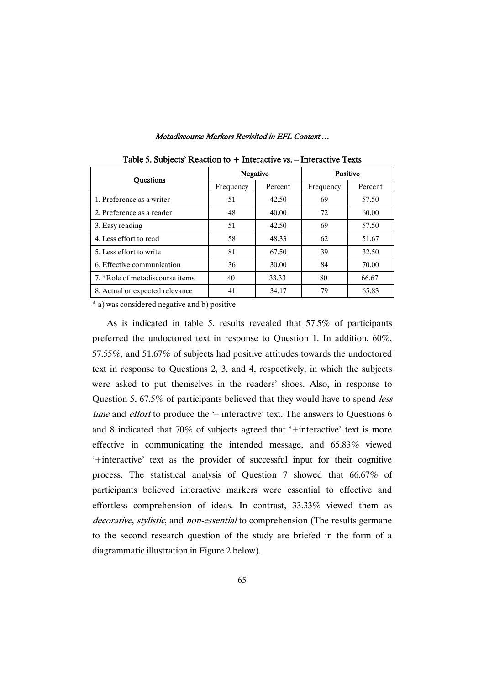|                                 | Negative  |         | <b>Positive</b> |         |  |
|---------------------------------|-----------|---------|-----------------|---------|--|
| <b>Ouestions</b>                | Frequency | Percent | Frequency       | Percent |  |
| 1. Preference as a writer       | 51        | 42.50   | 69              | 57.50   |  |
| 2. Preference as a reader       | 48        | 40.00   | 72              | 60.00   |  |
| 3. Easy reading                 | 51        | 42.50   | 69              | 57.50   |  |
| 4. Less effort to read          | 58        | 48.33   | 62              | 51.67   |  |
| 5. Less effort to write         | 81        | 67.50   | 39              | 32.50   |  |
| 6. Effective communication      | 36        | 30.00   | 84              | 70.00   |  |
| 7. *Role of metadiscourse items | 40        | 33.33   | 80              | 66.67   |  |
| 8. Actual or expected relevance | 41        | 34.17   | 79              | 65.83   |  |

Table 5. Subjects' Reaction to  $+$  Interactive vs.  $-$  Interactive Texts

\* a) was considered negative and b) positive

As is indicated in table 5, results revealed that 57.5% of participants preferred the undoctored text in response to Question 1. In addition, 60%, 57.55%, and 51.67% of subjects had positive attitudes towards the undoctored text in response to Questions 2, 3, and 4, respectively, in which the subjects were asked to put themselves in the readers' shoes. Also, in response to Question 5, 67.5% of participants believed that they would have to spend *less* time and effort to produce the '– interactive' text. The answers to Questions 6 and 8 indicated that 70% of subjects agreed that '+interactive' text is more effective in communicating the intended message, and 65.83% viewed '+interactive' text as the provider of successful input for their cognitive process. The statistical analysis of Question 7 showed that 66.67% of participants believed interactive markers were essential to effective and effortless comprehension of ideas. In contrast, 33.33% viewed them as decorative, stylistic, and non-essential to comprehension (The results germane to the second research question of the study are briefed in the form of a diagrammatic illustration in Figure 2 below).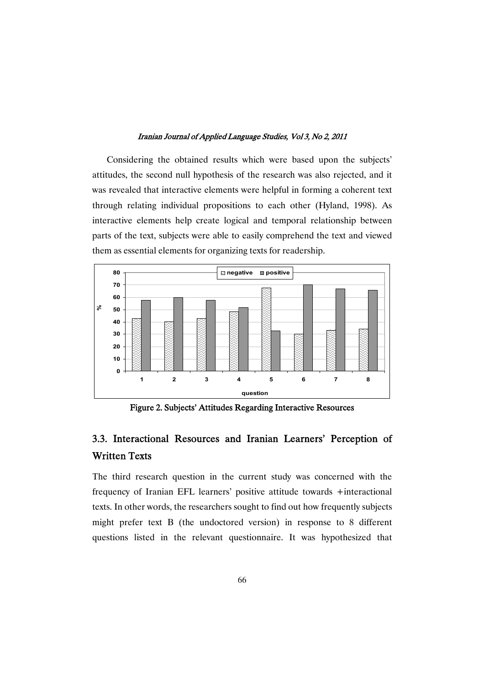Considering the obtained results which were based upon the subjects' attitudes, the second null hypothesis of the research was also rejected, and it was revealed that interactive elements were helpful in forming a coherent text through relating individual propositions to each other (Hyland, 1998). As interactive elements help create logical and temporal relationship between parts of the text, subjects were able to easily comprehend the text and viewed them as essential elements for organizing texts for readership.



Figure 2. Subjects' Attitudes Regarding Interactive Resources

# 3.3. Interactional Resources and Iranian Learners' Perception of WrittenTexts

The third research question in the current study was concerned with the frequency of Iranian EFL learners' positive attitude towards +interactional texts. In other words, the researchers sought to find out how frequently subjects might prefer text B (the undoctored version) in response to 8 different questions listed in the relevant questionnaire. It was hypothesized that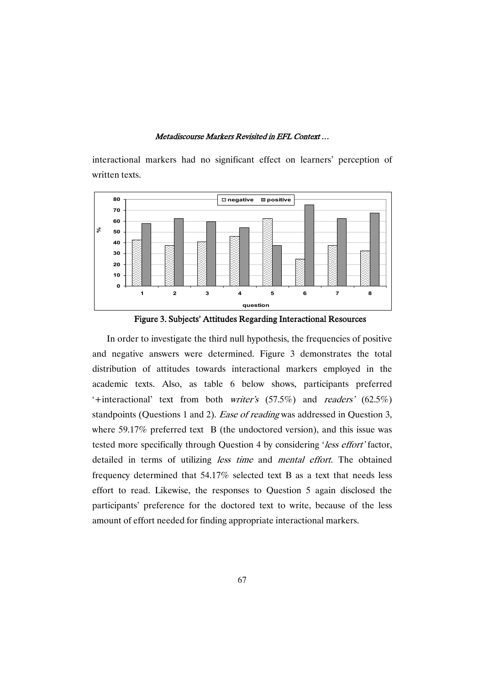

interactional markers had no significant effect on learners' perception of written texts.



In order to investigate the third null hypothesis, the frequencies of positive and negative answers were determined. Figure 3 demonstrates the total distribution of attitudes towards interactional markers employed in the academic texts. Also, as table 6 below shows, participants preferred '+interactional' text from both writer's (57.5%) and readers' (62.5%) standpoints (Questions 1 and 2). *Ease of reading* was addressed in Question 3, where 59.17% preferred text B (the undoctored version), and this issue was tested more specifically through Question 4 by considering 'less effort' factor, detailed in terms of utilizing less time and mental effort. The obtained frequency determined that 54.17% selected text B as a text that needs less effort to read. Likewise, the responses to Question 5 again disclosed the participants' preference for the doctored text to write, because of the less amount of effort needed for finding appropriate interactional markers.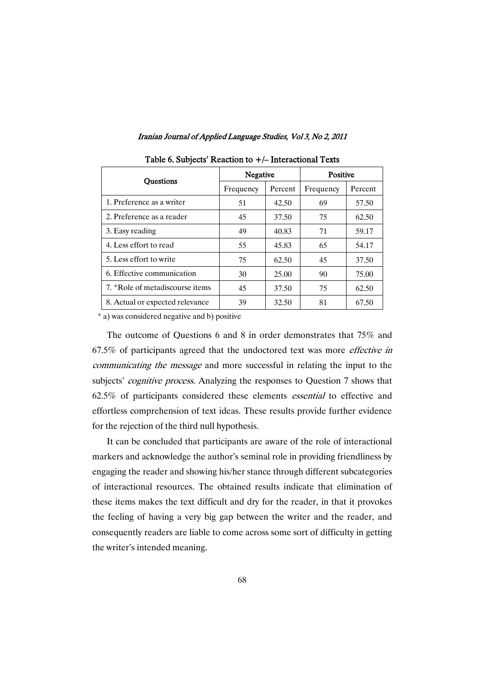| <b>Ouestions</b>                | Negative  |         | <b>Positive</b> |         |  |  |
|---------------------------------|-----------|---------|-----------------|---------|--|--|
|                                 | Frequency | Percent | Frequency       | Percent |  |  |
| 1. Preference as a writer       | 51        | 42.50   | 69              | 57.50   |  |  |
| 2. Preference as a reader       | 45        | 37.50   | 75              | 62.50   |  |  |
| 3. Easy reading                 | 49        | 40.83   | 71              | 59.17   |  |  |
| 4. Less effort to read          | 55        | 45.83   | 65              | 54.17   |  |  |
| 5. Less effort to write         | 75        | 62.50   | 45              | 37.50   |  |  |
| 6. Effective communication      | 30        | 25.00   | 90              | 75.00   |  |  |
| 7. *Role of metadiscourse items | 45        | 37.50   | 75              | 62.50   |  |  |
| 8. Actual or expected relevance | 39        | 32.50   | 81              | 67.50   |  |  |

Table 6. Subjects' Reaction to  $+/-$  Interactional Texts

\* a) was considered negative and b) positive

The outcome of Questions 6 and 8 in order demonstrates that 75% and 67.5% of participants agreed that the undoctored text was more effective in communicating the message and more successful in relating the input to the subjects' *cognitive process*. Analyzing the responses to Question 7 shows that 62.5% of participants considered these elements essential to effective and effortless comprehension of text ideas. These results provide further evidence for the rejection of the third null hypothesis.

It can be concluded that participants are aware of the role of interactional markers and acknowledge the author's seminal role in providing friendliness by engaging the reader and showing his/her stance through different subcategories of interactional resources. The obtained results indicate that elimination of these items makes the text difficult and dry for the reader, in that it provokes the feeling of having a very big gap between the writer and the reader, and consequently readers are liable to come across some sort of difficulty in getting the writer's intended meaning.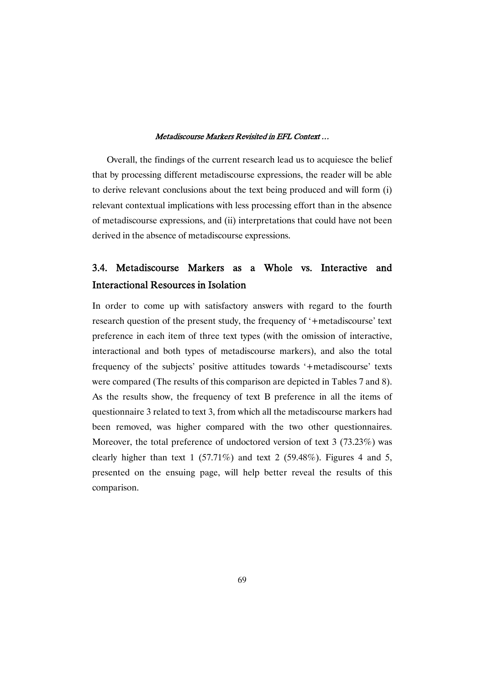Overall, the findings of the current research lead us to acquiesce the belief that by processing different metadiscourse expressions, the reader will be able to derive relevant conclusions about the text being produced and will form (i) relevant contextual implications with less processing effort than in the absence of metadiscourse expressions, and (ii) interpretations that could have not been derived in the absence of metadiscourse expressions.

# 3.4. Metadiscourse Markers as a Whole vs. Interactive and Interactional Resources in Isolation

In order to come up with satisfactory answers with regard to the fourth research question of the present study, the frequency of '+metadiscourse' text preference in each item of three text types (with the omission of interactive, interactional and both types of metadiscourse markers), and also the total frequency of the subjects' positive attitudes towards '+metadiscourse' texts were compared (The results of this comparison are depicted in Tables 7 and 8). As the results show, the frequency of text B preference in all the items of questionnaire 3 related to text 3, from which all the metadiscourse markers had been removed, was higher compared with the two other questionnaires. Moreover, the total preference of undoctored version of text 3 (73.23%) was clearly higher than text 1 (57.71%) and text 2 (59.48%). Figures 4 and 5, presented on the ensuing page, will help better reveal the results of this comparison.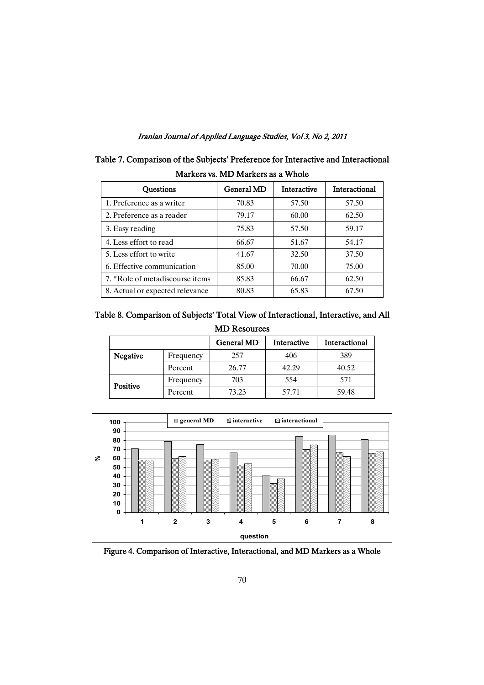| Markers vs. MD Markers as a Whole |                   |                    |               |  |  |
|-----------------------------------|-------------------|--------------------|---------------|--|--|
| <b>Ouestions</b>                  | <b>General MD</b> | <b>Interactive</b> | Interactional |  |  |
| 1. Preference as a writer         | 70.83             | 57.50              | 57.50         |  |  |
| 2. Preference as a reader         | 79.17             | 60.00              | 62.50         |  |  |
| 3. Easy reading                   | 75.83             | 57.50              | 59.17         |  |  |
| 4. Less effort to read            | 66.67             | 51.67              | 54.17         |  |  |
| 5. Less effort to write           | 41.67             | 32.50              | 37.50         |  |  |
| 6. Effective communication        | 85.00             | 70.00              | 75.00         |  |  |
| 7. *Role of metadiscourse items   | 85.83             | 66.67              | 62.50         |  |  |
| 8. Actual or expected relevance   | 80.83             | 65.83              | 67.50         |  |  |

| Table 7. Comparison of the Subjects' Preference for Interactive and Interactional |  |
|-----------------------------------------------------------------------------------|--|
| Markers vs. MD Markers as a Whole                                                 |  |

# Table 8. Comparison of Subjects' Total View of Interactional, Interactive, and All MDResources

|          |           | General MD | Interactive | Interactional |
|----------|-----------|------------|-------------|---------------|
| Negative | Frequency | 257        | 406         | 389           |
|          | Percent   | 26.77      | 42.29       | 40.52         |
| Positive | Frequency | 703        | 554         | 571           |
|          | Percent   | 73.23      | 57.71       | 59.48         |



Figure 4. Comparison of Interactive, Interactional, and MD Markers as a Whole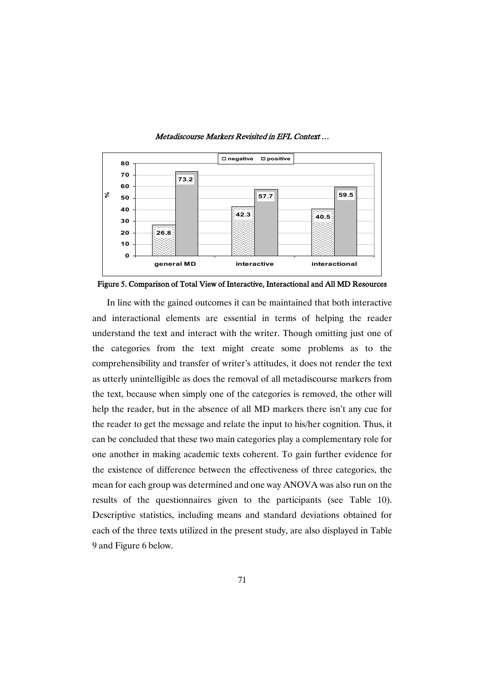

Figure 5. Comparison of Total View of Interactive, Interactional and All MD Resources

In line with the gained outcomes it can be maintained that both interactive and interactional elements are essential in terms of helping the reader understand the text and interact with the writer. Though omitting just one of the categories from the text might create some problems as to the comprehensibility and transfer of writer's attitudes, it does not render the text as utterly unintelligible as does the removal of all metadiscourse markers from the text, because when simply one of the categories is removed, the other will help the reader, but in the absence of all MD markers there isn't any cue for the reader to get the message and relate the input to his/her cognition. Thus, it can be concluded that these two main categories play a complementary role for one another in making academic texts coherent. To gain further evidence for the existence of difference between the effectiveness of three categories, the mean for each group was determined and one way ANOVA was also run on the results of the questionnaires given to the participants (see Table 10). Descriptive statistics, including means and standard deviations obtained for each of the three texts utilized in the present study, are also displayed in Table 9 and Figure 6 below.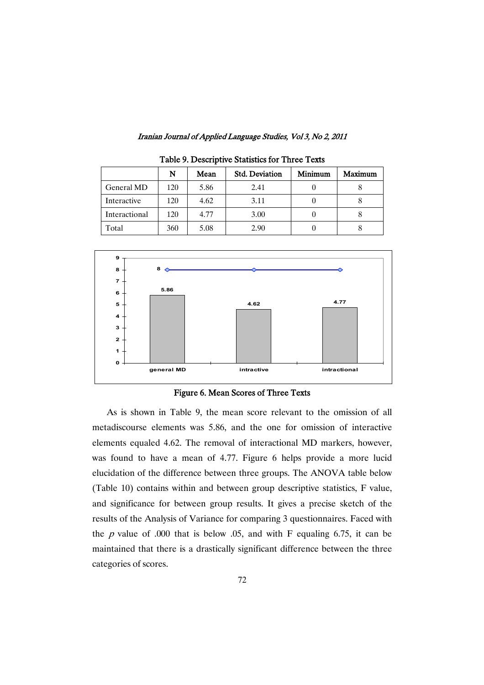|               | N   | Mean | <b>Std. Deviation</b> | Minimum | Maximum |
|---------------|-----|------|-----------------------|---------|---------|
| General MD    | 120 | 5.86 | 2.41                  |         |         |
| Interactive   | 120 | 4.62 | 3.11                  |         |         |
| Interactional | 120 | 4.77 | 3.00                  |         |         |
| Total         | 360 | 5.08 | 2.90                  |         |         |

Table 9. Descriptive Statistics for Three Texts



Figure 6. Mean Scores of Three Texts

As is shown in Table 9, the mean score relevant to the omission of all metadiscourse elements was 5.86, and the one for omission of interactive elements equaled 4.62. The removal of interactional MD markers, however, was found to have a mean of 4.77. Figure 6 helps provide a more lucid elucidation of the difference between three groups. The ANOVA table below (Table 10) contains within and between group descriptive statistics, F value, and significance for between group results. It gives a precise sketch of the results of the Analysis of Variance for comparing 3 questionnaires. Faced with the  $p$  value of .000 that is below .05, and with F equaling 6.75, it can be maintained that there is a drastically significant difference between the three categories of scores.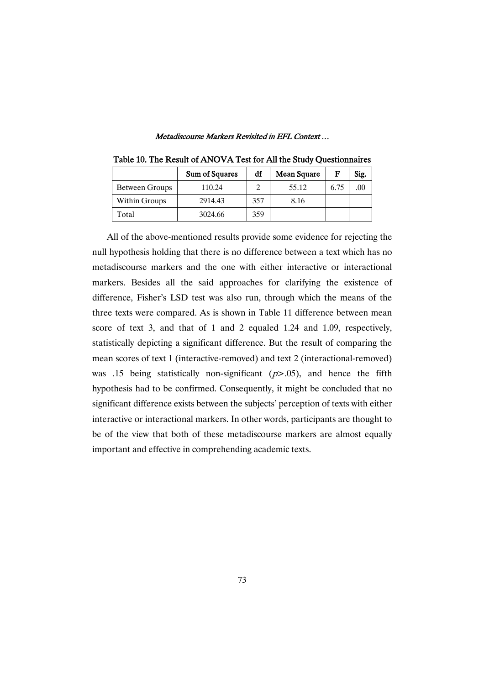|                | Sum of Squares | df  | Mean Square | F    | Sig. |
|----------------|----------------|-----|-------------|------|------|
| Between Groups | 110.24         |     | 55.12       | 6.75 |      |
| Within Groups  | 2914.43        | 357 | 8.16        |      |      |
| Total          | 3024.66        | 359 |             |      |      |

Table 10. The Result of ANOVA Test for All the Study Questionnaires

All of the above-mentioned results provide some evidence for rejecting the null hypothesis holding that there is no difference between a text which has no metadiscourse markers and the one with either interactive or interactional markers. Besides all the said approaches for clarifying the existence of difference, Fisher's LSD test was also run, through which the means of the three texts were compared. As is shown in Table 11 difference between mean score of text 3, and that of 1 and 2 equaled 1.24 and 1.09, respectively, statistically depicting a significant difference. But the result of comparing the mean scores of text 1 (interactive-removed) and text 2 (interactional-removed) was .15 being statistically non-significant ( $p$ >.05), and hence the fifth hypothesis had to be confirmed. Consequently, it might be concluded that no significant difference exists between the subjects' perception of texts with either interactive or interactional markers. In other words, participants are thought to be of the view that both of these metadiscourse markers are almost equally important and effective in comprehending academic texts.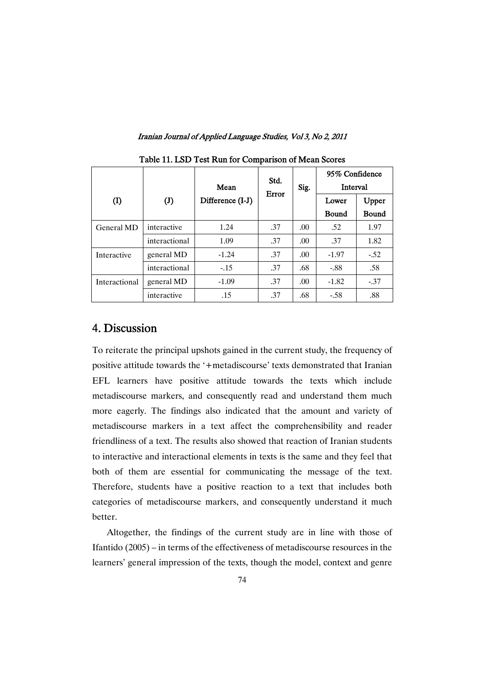|               |                |                  | Std.  |      | 95% Confidence |              |
|---------------|----------------|------------------|-------|------|----------------|--------------|
|               |                | Mean             | Error | Sig. | Interval       |              |
| (I)           | $(\mathrm{J})$ | Difference (I-J) |       |      | Lower          | Upper        |
|               |                |                  |       |      | <b>Bound</b>   | <b>Bound</b> |
| General MD    | interactive    | 1.24             | .37   | .00. | .52            | 1.97         |
|               | interactional  | 1.09             | .37   | .00. | .37            | 1.82         |
| Interactive   | general MD     | $-1.24$          | .37   | .00. | $-1.97$        | $-.52$       |
|               | interactional  | $-15$            | .37   | .68  | $-.88$         | .58          |
| Interactional | general MD     | $-1.09$          | .37   | .00. | $-1.82$        | $-.37$       |
|               | interactive    | .15              | .37   | .68  | $-.58$         | .88          |

Table 11. LSD Test Run for Comparison of Mean Scores

# 4.Discussion

To reiterate the principal upshots gained in the current study, the frequency of positive attitude towards the '+metadiscourse' texts demonstrated that Iranian EFL learners have positive attitude towards the texts which include metadiscourse markers, and consequently read and understand them much more eagerly. The findings also indicated that the amount and variety of metadiscourse markers in a text affect the comprehensibility and reader friendliness of a text. The results also showed that reaction of Iranian students to interactive and interactional elements in texts is the same and they feel that both of them are essential for communicating the message of the text. Therefore, students have a positive reaction to a text that includes both categories of metadiscourse markers, and consequently understand it much better.

Altogether, the findings of the current study are in line with those of Ifantido (2005) – in terms of the effectiveness of metadiscourse resources in the learners' general impression of the texts, though the model, context and genre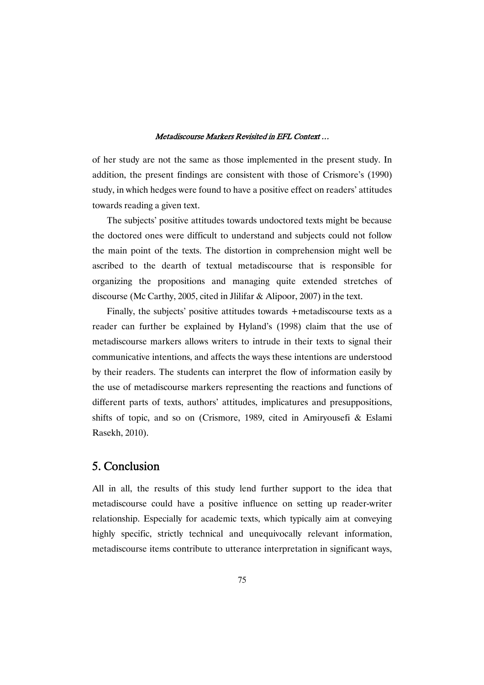of her study are not the same as those implemented in the present study. In addition, the present findings are consistent with those of Crismore's (1990) study, in which hedges were found to have a positive effect on readers' attitudes towards reading a given text.

The subjects' positive attitudes towards undoctored texts might be because the doctored ones were difficult to understand and subjects could not follow the main point of the texts. The distortion in comprehension might well be ascribed to the dearth of textual metadiscourse that is responsible for organizing the propositions and managing quite extended stretches of discourse (Mc Carthy, 2005, cited in Jlilifar & Alipoor, 2007) in the text.

Finally, the subjects' positive attitudes towards +metadiscourse texts as a reader can further be explained by Hyland's (1998) claim that the use of metadiscourse markers allows writers to intrude in their texts to signal their communicative intentions, and affects the ways these intentions are understood by their readers. The students can interpret the flow of information easily by the use of metadiscourse markers representing the reactions and functions of different parts of texts, authors' attitudes, implicatures and presuppositions, shifts of topic, and so on (Crismore, 1989, cited in Amiryousefi & Eslami Rasekh, 2010).

# 5.Conclusion

All in all, the results of this study lend further support to the idea that metadiscourse could have a positive influence on setting up reader-writer relationship. Especially for academic texts, which typically aim at conveying highly specific, strictly technical and unequivocally relevant information, metadiscourse items contribute to utterance interpretation in significant ways,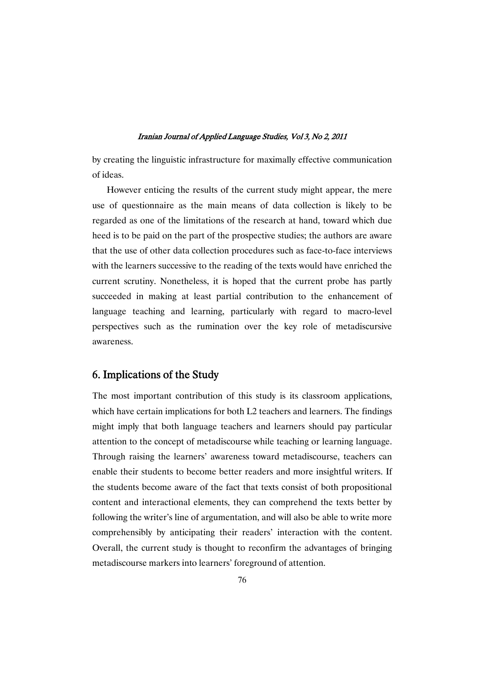by creating the linguistic infrastructure for maximally effective communication of ideas.

However enticing the results of the current study might appear, the mere use of questionnaire as the main means of data collection is likely to be regarded as one of the limitations of the research at hand, toward which due heed is to be paid on the part of the prospective studies; the authors are aware that the use of other data collection procedures such as face-to-face interviews with the learners successive to the reading of the texts would have enriched the current scrutiny. Nonetheless, it is hoped that the current probe has partly succeeded in making at least partial contribution to the enhancement of language teaching and learning, particularly with regard to macro-level perspectives such as the rumination over the key role of metadiscursive awareness.

# 6. Implications of the Study

The most important contribution of this study is its classroom applications, which have certain implications for both L2 teachers and learners. The findings might imply that both language teachers and learners should pay particular attention to the concept of metadiscourse while teaching or learning language. Through raising the learners' awareness toward metadiscourse, teachers can enable their students to become better readers and more insightful writers. If the students become aware of the fact that texts consist of both propositional content and interactional elements, they can comprehend the texts better by following the writer's line of argumentation, and will also be able to write more comprehensibly by anticipating their readers' interaction with the content. Overall, the current study is thought to reconfirm the advantages of bringing metadiscourse markers into learners' foreground of attention.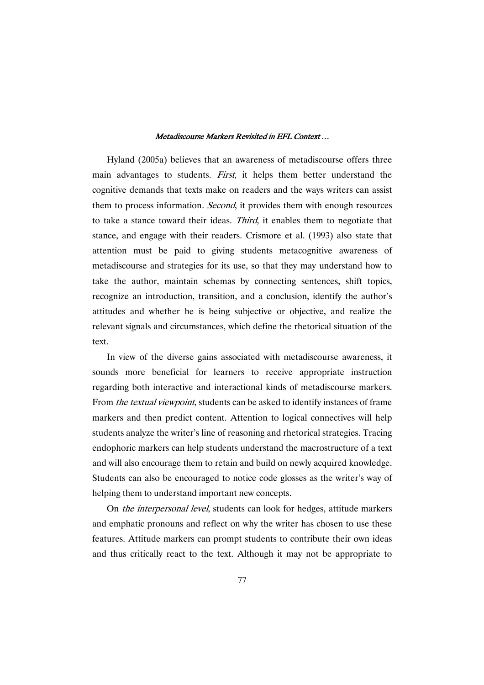Hyland (2005a) believes that an awareness of metadiscourse offers three main advantages to students. *First*, it helps them better understand the cognitive demands that texts make on readers and the ways writers can assist them to process information. *Second*, it provides them with enough resources to take a stance toward their ideas. Third, it enables them to negotiate that stance, and engage with their readers. Crismore et al. (1993) also state that attention must be paid to giving students metacognitive awareness of metadiscourse and strategies for its use, so that they may understand how to take the author, maintain schemas by connecting sentences, shift topics, recognize an introduction, transition, and a conclusion, identify the author's attitudes and whether he is being subjective or objective, and realize the relevant signals and circumstances, which define the rhetorical situation of the text.

In view of the diverse gains associated with metadiscourse awareness, it sounds more beneficial for learners to receive appropriate instruction regarding both interactive and interactional kinds of metadiscourse markers. From the textual viewpoint, students can be asked to identify instances of frame markers and then predict content. Attention to logical connectives will help students analyze the writer's line of reasoning and rhetorical strategies. Tracing endophoric markers can help students understand the macrostructure of a text and will also encourage them to retain and build on newly acquired knowledge. Students can also be encouraged to notice code glosses as the writer's way of helping them to understand important new concepts.

On the interpersonal level, students can look for hedges, attitude markers and emphatic pronouns and reflect on why the writer has chosen to use these features. Attitude markers can prompt students to contribute their own ideas and thus critically react to the text. Although it may not be appropriate to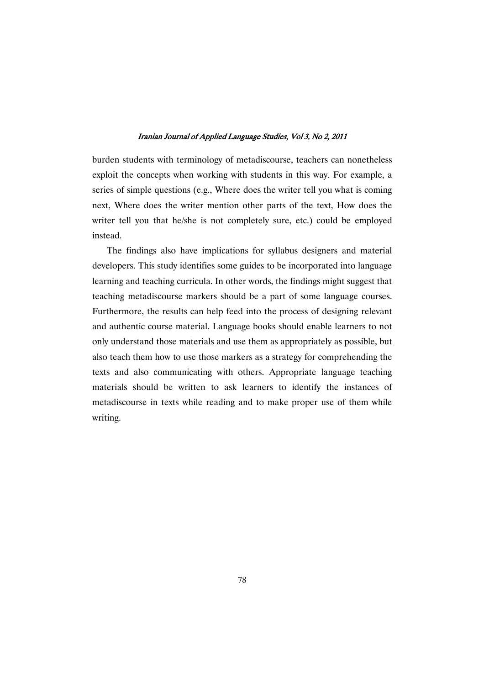burden students with terminology of metadiscourse, teachers can nonetheless exploit the concepts when working with students in this way. For example, a series of simple questions (e.g., Where does the writer tell you what is coming next, Where does the writer mention other parts of the text, How does the writer tell you that he/she is not completely sure, etc.) could be employed instead.

The findings also have implications for syllabus designers and material developers. This study identifies some guides to be incorporated into language learning and teaching curricula. In other words, the findings might suggest that teaching metadiscourse markers should be a part of some language courses. Furthermore, the results can help feed into the process of designing relevant and authentic course material. Language books should enable learners to not only understand those materials and use them as appropriately as possible, but also teach them how to use those markers as a strategy for comprehending the texts and also communicating with others. Appropriate language teaching materials should be written to ask learners to identify the instances of metadiscourse in texts while reading and to make proper use of them while writing.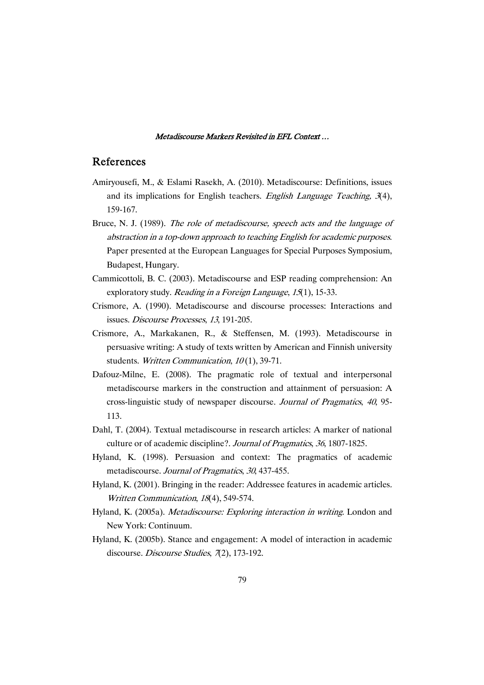# References

- Amiryousefi, M., & Eslami Rasekh, A. (2010). Metadiscourse: Definitions, issues and its implications for English teachers. English Language Teaching, 3(4), 159-167.
- Bruce, N. J. (1989). The role of metadiscourse, speech acts and the language of abstraction in <sup>a</sup> top-down approach to teaching English for academic purposes. Paper presented at the European Languages for Special Purposes Symposium, Budapest, Hungary.
- Cammicottoli, B. C. (2003). Metadiscourse and ESP reading comprehension: An exploratory study. *Reading in a Foreign Language*, 15(1), 15-33.
- Crismore, A. (1990). Metadiscourse and discourse processes: Interactions and issues. Discourse Processes, <sup>13</sup>, 191-205.
- Crismore, A., Markakanen, R., & Steffensen, M. (1993). Metadiscourse in persuasive writing: A study of texts written by American and Finnish university students. Written Communication, 10(1), 39-71.
- Dafouz-Milne, E. (2008). The pragmatic role of textual and interpersonal metadiscourse markers in the construction and attainment of persuasion: A cross-linguistic study of newspaper discourse. Journal of Pragmatics, <sup>40</sup>, 95- 113.
- Dahl, T. (2004). Textual metadiscourse in research articles: A marker of national culture or of academic discipline?. Journal of Pragmatics, <sup>36</sup>, 1807-1825.
- Hyland, K. (1998). Persuasion and context: The pragmatics of academic metadiscourse. Journal of Pragmatics, <sup>30</sup>, 437-455.
- Hyland, K. (2001). Bringing in the reader: Addressee features in academic articles. Written Communication, <sup>18</sup>(4), 549-574.
- Hyland, K. (2005a). *Metadiscourse: Exploring interaction in writing*. London and New York: Continuum.
- Hyland, K. (2005b). Stance and engagement: A model of interaction in academic discourse. Discourse Studies, 7(2), 173-192.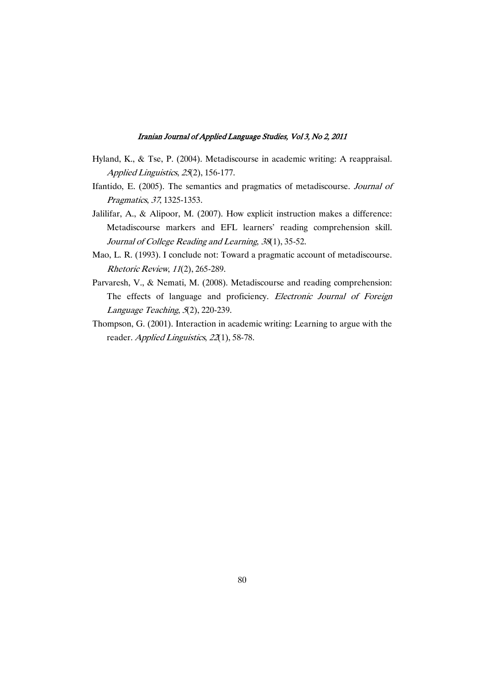- Hyland, K., & Tse, P. (2004). Metadiscourse in academic writing: A reappraisal. Applied Linguistics, 25(2), 156-177.
- Ifantido, E. (2005). The semantics and pragmatics of metadiscourse. Journal of Pragmatics, <sup>37</sup>, 1325-1353.
- Jalilifar, A., & Alipoor, M. (2007). How explicit instruction makes a difference: Metadiscourse markers and EFL learners' reading comprehension skill. Journal of College Reading and Learning, <sup>38</sup>(1), 35-52.
- Mao, L. R. (1993). I conclude not: Toward a pragmatic account of metadiscourse. Rhetoric Review, <sup>11</sup>(2), 265-289.
- Parvaresh, V., & Nemati, M. (2008). Metadiscourse and reading comprehension: The effects of language and proficiency. Electronic Journal of Foreign Language Teaching, <sup>5</sup>(2), 220-239.
- Thompson, G. (2001). Interaction in academic writing: Learning to argue with the reader. Applied Linguistics, 22(1), 58-78.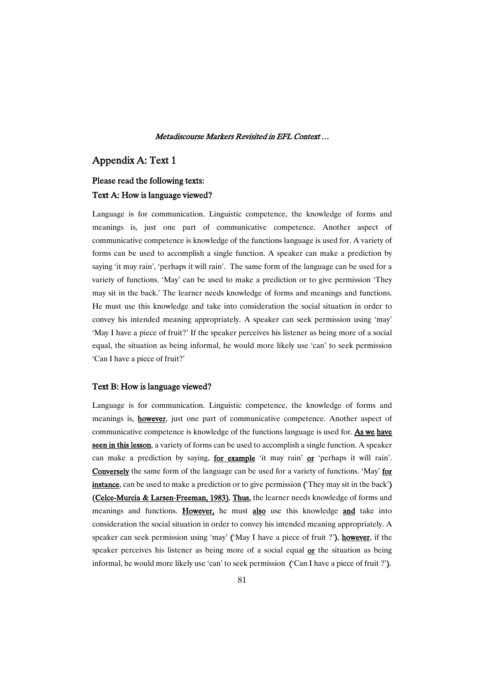### Appendix A: Text 1

# Please read the following texts:

### Text A: How is language viewed?

Language is for communication. Linguistic competence, the knowledge of forms and meanings is, just one part of communicative competence. Another aspect of communicative competence is knowledge of the functions language is used for. A variety of forms can be used to accomplish a single function. A speaker can make a prediction by saying 'it may rain', 'perhaps it will rain'. The same form of the language can be used for a variety of functions. 'May' can be used to make a prediction or to give permission 'They may sit in the back.' The learner needs knowledge of forms and meanings and functions. He must use this knowledge and take into consideration the social situation in order to convey his intended meaning appropriately. A speaker can seek permission using 'may' 'May I have a piece of fruit?' If the speaker perceives his listener as being more of a social equal, the situation as being informal, he would more likely use 'can' to seek permission 'Can I have a piece of fruit?'

### Text B: How is language viewed?

Language is for communication. Linguistic competence, the knowledge of forms and meanings is, **however**, just one part of communicative competence. Another aspect of communicative competence is knowledge of the functions language is used for. As we have seen in this lesson, a variety of forms can be used to accomplish a single function. A speaker can make a prediction by saying, **for example** 'it may rain' or 'perhaps it will rain'. Conversely the same form of the language can be used for a variety of functions. 'May' for instance, can be used to make a prediction or to give permission ('They may sit in the back') (Celce-Murcia & Larsen-Freeman, 1983). Thus, the learner needs knowledge of forms and meanings and functions. However, he must also use this knowledge and take into consideration the social situation in order to convey his intended meaning appropriately. A speaker can seek permission using 'may' ('May I have a piece of fruit ?'), however, if the speaker perceives his listener as being more of a social equal or the situation as being informal, he would more likely use 'can' to seek permission ('Can I have a piece of fruit ?').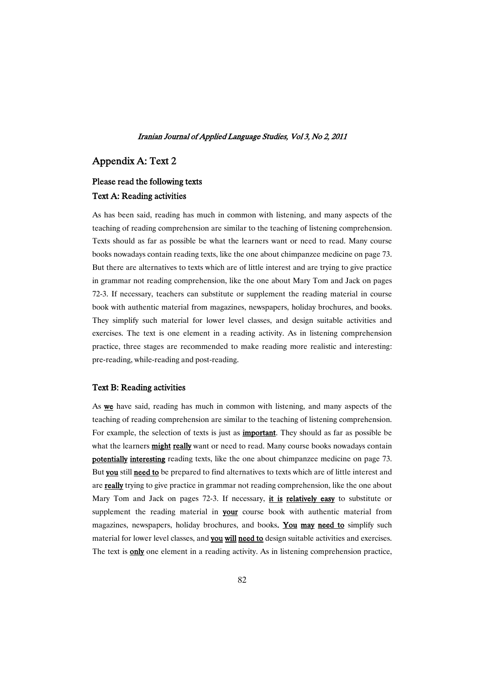# Appendix A: Text 2

# Please read the following texts Text A: Reading activities

As has been said, reading has much in common with listening, and many aspects of the teaching of reading comprehension are similar to the teaching of listening comprehension. Texts should as far as possible be what the learners want or need to read. Many course books nowadays contain reading texts, like the one about chimpanzee medicine on page 73. But there are alternatives to texts which are of little interest and are trying to give practice in grammar not reading comprehension, like the one about Mary Tom and Jack on pages 72-3. If necessary, teachers can substitute or supplement the reading material in course book with authentic material from magazines, newspapers, holiday brochures, and books. They simplify such material for lower level classes, and design suitable activities and exercises. The text is one element in a reading activity. As in listening comprehension practice, three stages are recommended to make reading more realistic and interesting: pre-reading, while-reading and post-reading.

### Text B: Reading activities

As we have said, reading has much in common with listening, and many aspects of the teaching of reading comprehension are similar to the teaching of listening comprehension. For example, the selection of texts is just as **important**. They should as far as possible be what the learners **might really** want or need to read. Many course books nowadays contain potentially interesting reading texts, like the one about chimpanzee medicine on page 73. But you still need to be prepared to find alternatives to texts which are of little interest and are really trying to give practice in grammar not reading comprehension, like the one about Mary Tom and Jack on pages 72-3. If necessary, *it is relatively easy* to substitute or supplement the reading material in your course book with authentic material from magazines, newspapers, holiday brochures, and books. You may need to simplify such material for lower level classes, and you will need to design suitable activities and exercises. The text is only one element in a reading activity. As in listening comprehension practice,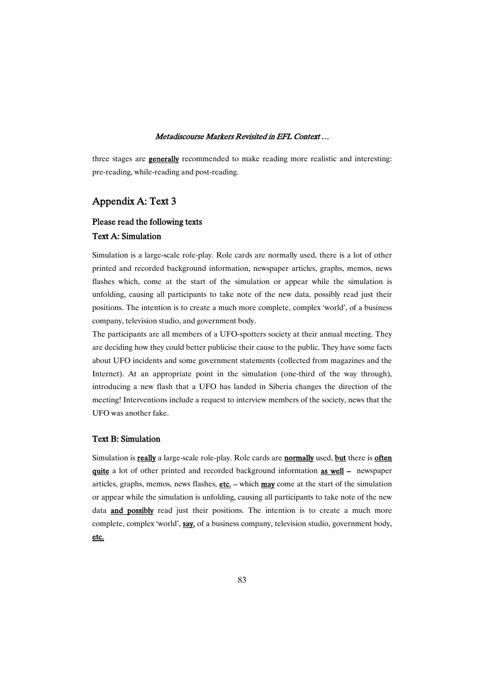three stages are **generally** recommended to make reading more realistic and interesting: pre-reading, while-reading and post-reading.

# Appendix A: Text 3

# Please read the following texts TextA:Simulation

Simulation is a large-scale role-play. Role cards are normally used, there is a lot of other printed and recorded background information, newspaper articles, graphs, memos, news flashes which, come at the start of the simulation or appear while the simulation is unfolding, causing all participants to take note of the new data, possibly read just their positions. The intention is to create a much more complete, complex 'world', of a business company, television studio, and government body.

The participants are all members of a UFO-spotters society at their annual meeting. They are deciding how they could better publicise their cause to the public. They have some facts about UFO incidents and some government statements (collected from magazines and the Internet). At an appropriate point in the simulation (one-third of the way through), introducing a new flash that a UFO has landed in Siberia changes the direction of the meeting! Interventions include a request to interview members of the society, news that the UFO was another fake.

### TextB:Simulation

Simulation is really a large-scale role-play. Role cards are normally used, but there is often quite a lot of other printed and recorded background information **as well** – newspaper articles, graphs, memos, news flashes, etc. – which may come at the start of the simulation or appear while the simulation is unfolding, causing all participants to take note of the new data **and possibly** read just their positions. The intention is to create a much more complete, complex 'world', say, of a business company, television studio, government body, etc.